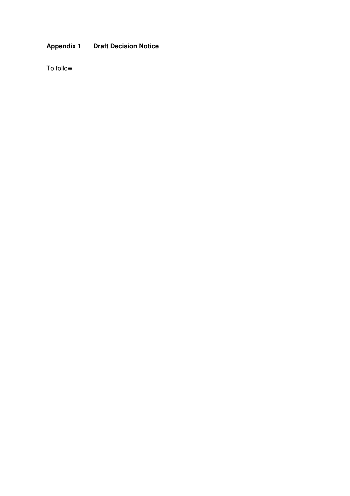## **Appendix 1 Draft Decision Notice**

To follow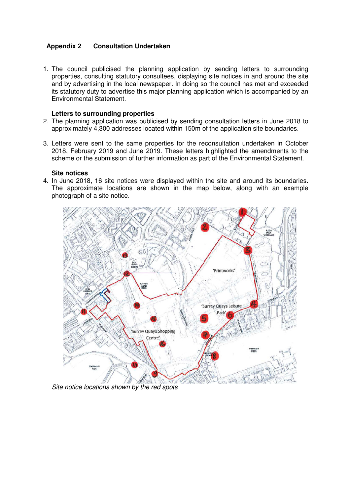### **Appendix 2 Consultation Undertaken**

1. The council publicised the planning application by sending letters to surrounding properties, consulting statutory consultees, displaying site notices in and around the site and by advertising in the local newspaper. In doing so the council has met and exceeded its statutory duty to advertise this major planning application which is accompanied by an Environmental Statement.

#### **Letters to surrounding properties**

- 2. The planning application was publicised by sending consultation letters in June 2018 to approximately 4,300 addresses located within 150m of the application site boundaries.
- 3. Letters were sent to the same properties for the reconsultation undertaken in October 2018, February 2019 and June 2019. These letters highlighted the amendments to the scheme or the submission of further information as part of the Environmental Statement.

#### **Site notices**

4. In June 2018, 16 site notices were displayed within the site and around its boundaries. The approximate locations are shown in the map below, along with an example photograph of a site notice.



Site notice locations shown by the red spots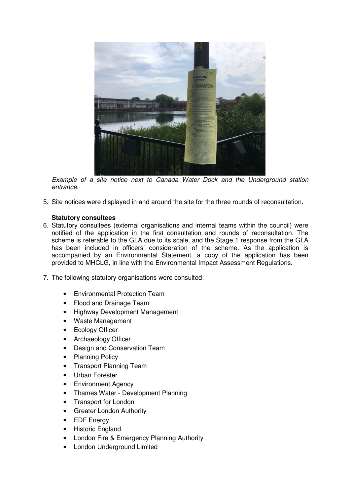

Example of a site notice next to Canada Water Dock and the Underground station entrance.

5. Site notices were displayed in and around the site for the three rounds of reconsultation.

#### **Statutory consultees**

- 6. Statutory consultees (external organisations and internal teams within the council) were notified of the application in the first consultation and rounds of reconsultation. The scheme is referable to the GLA due to its scale, and the Stage 1 response from the GLA has been included in officers' consideration of the scheme. As the application is accompanied by an Environmental Statement, a copy of the application has been provided to MHCLG, in line with the Environmental Impact Assessment Regulations.
- 7. The following statutory organisations were consulted:
	- Environmental Protection Team
	- Flood and Drainage Team
	- Highway Development Management
	- Waste Management
	- **Ecology Officer**
	- Archaeology Officer
	- Design and Conservation Team
	- Planning Policy
	- Transport Planning Team
	- Urban Forester
	- Environment Agency
	- Thames Water Development Planning
	- Transport for London
	- Greater London Authority
	- **EDF** Energy
	- Historic England
	- London Fire & Emergency Planning Authority
	- London Underground Limited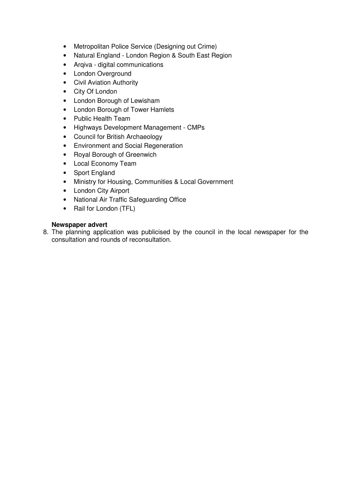- Metropolitan Police Service (Designing out Crime)
- Natural England London Region & South East Region
- Arqiva digital communications
- London Overground
- Civil Aviation Authority
- City Of London
- London Borough of Lewisham
- London Borough of Tower Hamlets
- Public Health Team
- Highways Development Management CMPs
- Council for British Archaeology
- Environment and Social Regeneration
- Royal Borough of Greenwich
- Local Economy Team
- Sport England
- Ministry for Housing, Communities & Local Government
- London City Airport
- National Air Traffic Safeguarding Office
- Rail for London (TFL)

#### **Newspaper advert**

8. The planning application was publicised by the council in the local newspaper for the consultation and rounds of reconsultation.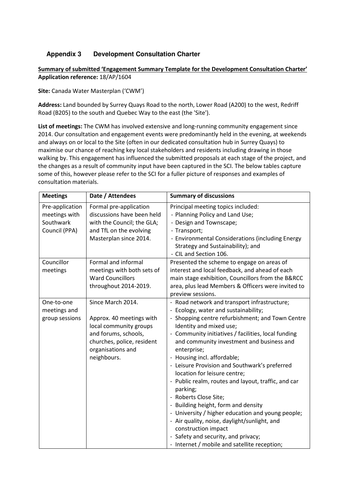## **Appendix 3 Development Consultation Charter**

#### Summary of submitted 'Engagement Summary Template for the Development Consultation Charter' Application reference: 18/AP/1604

Site: Canada Water Masterplan ('CWM')

Address: Land bounded by Surrey Quays Road to the north, Lower Road (A200) to the west, Redriff Road (B205) to the south and Quebec Way to the east (the 'Site').

List of meetings: The CWM has involved extensive and long-running community engagement since 2014. Our consultation and engagement events were predominantly held in the evening, at weekends and always on or local to the Site (often in our dedicated consultation hub in Surrey Quays) to maximise our chance of reaching key local stakeholders and residents including drawing in those walking by. This engagement has influenced the submitted proposals at each stage of the project, and the changes as a result of community input have been captured in the SCI. The below tables capture some of this, however please refer to the SCI for a fuller picture of responses and examples of consultation materials.

| <b>Meetings</b>                                                | Date / Attendees                                                                                                                                                  | <b>Summary of discussions</b>                                                                                                                                                                                                                                                                                                                                                                                                                                                                                                                                                                                                                                                                                                                                |
|----------------------------------------------------------------|-------------------------------------------------------------------------------------------------------------------------------------------------------------------|--------------------------------------------------------------------------------------------------------------------------------------------------------------------------------------------------------------------------------------------------------------------------------------------------------------------------------------------------------------------------------------------------------------------------------------------------------------------------------------------------------------------------------------------------------------------------------------------------------------------------------------------------------------------------------------------------------------------------------------------------------------|
| Pre-application<br>meetings with<br>Southwark<br>Council (PPA) | Formal pre-application<br>discussions have been held<br>with the Council; the GLA;<br>and TfL on the evolving<br>Masterplan since 2014.                           | Principal meeting topics included:<br>- Planning Policy and Land Use;<br>- Design and Townscape;<br>- Transport;<br>- Environmental Considerations (including Energy<br>Strategy and Sustainability); and<br>- CIL and Section 106.                                                                                                                                                                                                                                                                                                                                                                                                                                                                                                                          |
| Councillor<br>meetings                                         | Formal and informal<br>meetings with both sets of<br><b>Ward Councillors</b><br>throughout 2014-2019.                                                             | Presented the scheme to engage on areas of<br>interest and local feedback, and ahead of each<br>main stage exhibition, Councillors from the B&RCC<br>area, plus lead Members & Officers were invited to<br>preview sessions.                                                                                                                                                                                                                                                                                                                                                                                                                                                                                                                                 |
| One-to-one<br>meetings and<br>group sessions                   | Since March 2014.<br>Approx. 40 meetings with<br>local community groups<br>and forums, schools,<br>churches, police, resident<br>organisations and<br>neighbours. | - Road network and transport infrastructure;<br>- Ecology, water and sustainability;<br>- Shopping centre refurbishment; and Town Centre<br>Identity and mixed use;<br>- Community initiatives / facilities, local funding<br>and community investment and business and<br>enterprise;<br>- Housing incl. affordable;<br>- Leisure Provision and Southwark's preferred<br>location for leisure centre;<br>- Public realm, routes and layout, traffic, and car<br>parking;<br>- Roberts Close Site;<br>- Building height, form and density<br>- University / higher education and young people;<br>- Air quality, noise, daylight/sunlight, and<br>construction impact<br>- Safety and security, and privacy;<br>- Internet / mobile and satellite reception; |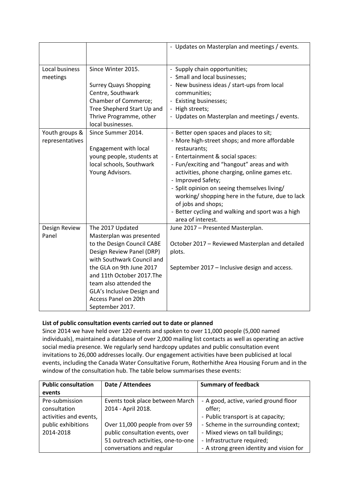|                 |                              | - Updates on Masterplan and meetings / events.    |
|-----------------|------------------------------|---------------------------------------------------|
|                 |                              |                                                   |
| Local business  | Since Winter 2015.           | - Supply chain opportunities;                     |
| meetings        |                              | - Small and local businesses;                     |
|                 | <b>Surrey Quays Shopping</b> | - New business ideas / start-ups from local       |
|                 | Centre, Southwark            | communities;                                      |
|                 | <b>Chamber of Commerce;</b>  | - Existing businesses;                            |
|                 | Tree Shepherd Start Up and   | - High streets;                                   |
|                 | Thrive Programme, other      | - Updates on Masterplan and meetings / events.    |
|                 | local businesses.            |                                                   |
| Youth groups &  | Since Summer 2014.           | - Better open spaces and places to sit;           |
| representatives |                              | - More high-street shops; and more affordable     |
|                 | Engagement with local        | restaurants;                                      |
|                 | young people, students at    | - Entertainment & social spaces:                  |
|                 | local schools, Southwark     | - Fun/exciting and "hangout" areas and with       |
|                 | Young Advisors.              | activities, phone charging, online games etc.     |
|                 |                              | - Improved Safety;                                |
|                 |                              | - Split opinion on seeing themselves living/      |
|                 |                              | working/ shopping here in the future, due to lack |
|                 |                              | of jobs and shops;                                |
|                 |                              | - Better cycling and walking and sport was a high |
|                 |                              | area of interest.                                 |
| Design Review   | The 2017 Updated             | June 2017 - Presented Masterplan.                 |
| Panel           | Masterplan was presented     |                                                   |
|                 | to the Design Council CABE   | October 2017 - Reviewed Masterplan and detailed   |
|                 | Design Review Panel (DRP)    | plots.                                            |
|                 | with Southwark Council and   |                                                   |
|                 | the GLA on 9th June 2017     | September 2017 - Inclusive design and access.     |
|                 | and 11th October 2017.The    |                                                   |
|                 | team also attended the       |                                                   |
|                 | GLA's Inclusive Design and   |                                                   |
|                 | Access Panel on 20th         |                                                   |
|                 | September 2017.              |                                                   |

## List of public consultation events carried out to date or planned

Since 2014 we have held over 120 events and spoken to over 11,000 people (5,000 named individuals), maintained a database of over 2,000 mailing list contacts as well as operating an active social media presence. We regularly send hardcopy updates and public consultation event invitations to 26,000 addresses locally. Our engagement activities have been publicised at local events, including the Canada Water Consultative Forum, Rotherhithe Area Housing Forum and in the window of the consultation hub. The table below summarises these events:

| <b>Public consultation</b> | Date / Attendees                   | <b>Summary of feedback</b>               |
|----------------------------|------------------------------------|------------------------------------------|
| events                     |                                    |                                          |
| Pre-submission             | Events took place between March    | - A good, active, varied ground floor    |
| consultation               | 2014 - April 2018.                 | offer;                                   |
| activities and events,     |                                    | - Public transport is at capacity;       |
| public exhibitions         | Over 11,000 people from over 59    | - Scheme in the surrounding context;     |
| 2014-2018                  | public consultation events, over   | - Mixed views on tall buildings;         |
|                            | 51 outreach activities, one-to-one | - Infrastructure required;               |
|                            | conversations and regular          | - A strong green identity and vision for |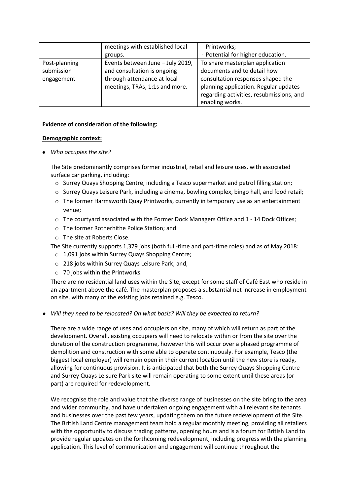|               | meetings with established local  | Printworks;                              |
|---------------|----------------------------------|------------------------------------------|
|               | groups.                          | - Potential for higher education.        |
| Post-planning | Events between June - July 2019, | To share masterplan application          |
| submission    | and consultation is ongoing      | documents and to detail how              |
| engagement    | through attendance at local      | consultation responses shaped the        |
|               | meetings, TRAs, 1:1s and more.   | planning application. Regular updates    |
|               |                                  | regarding activities, resubmissions, and |
|               |                                  | enabling works.                          |

#### Evidence of consideration of the following:

#### Demographic context:

#### • Who occupies the site?

The Site predominantly comprises former industrial, retail and leisure uses, with associated surface car parking, including:

- o Surrey Quays Shopping Centre, including a Tesco supermarket and petrol filling station;
- o Surrey Quays Leisure Park, including a cinema, bowling complex, bingo hall, and food retail;
- $\circ$  The former Harmsworth Quay Printworks, currently in temporary use as an entertainment venue;
- o The courtyard associated with the Former Dock Managers Office and 1 14 Dock Offices;
- o The former Rotherhithe Police Station; and
- o The site at Roberts Close.

The Site currently supports 1,379 jobs (both full-time and part-time roles) and as of May 2018:

- o 1,091 jobs within Surrey Quays Shopping Centre;
- o 218 jobs within Surrey Quays Leisure Park; and,
- $\circ$  70 jobs within the Printworks.

There are no residential land uses within the Site, except for some staff of Café East who reside in an apartment above the café. The masterplan proposes a substantial net increase in employment on site, with many of the existing jobs retained e.g. Tesco.

● Will they need to be relocated? On what basis? Will they be expected to return?

There are a wide range of uses and occupiers on site, many of which will return as part of the development. Overall, existing occupiers will need to relocate within or from the site over the duration of the construction programme, however this will occur over a phased programme of demolition and construction with some able to operate continuously. For example, Tesco (the biggest local employer) will remain open in their current location until the new store is ready, allowing for continuous provision. It is anticipated that both the Surrey Quays Shopping Centre and Surrey Quays Leisure Park site will remain operating to some extent until these areas (or part) are required for redevelopment.

We recognise the role and value that the diverse range of businesses on the site bring to the area and wider community, and have undertaken ongoing engagement with all relevant site tenants and businesses over the past few years, updating them on the future redevelopment of the Site. The British Land Centre management team hold a regular monthly meeting, providing all retailers with the opportunity to discuss trading patterns, opening hours and is a forum for British Land to provide regular updates on the forthcoming redevelopment, including progress with the planning application. This level of communication and engagement will continue throughout the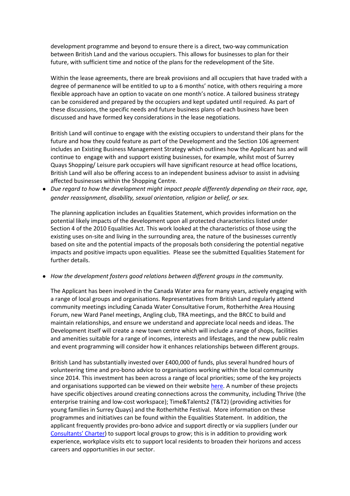development programme and beyond to ensure there is a direct, two-way communication between British Land and the various occupiers. This allows for businesses to plan for their future, with sufficient time and notice of the plans for the redevelopment of the Site.

Within the lease agreements, there are break provisions and all occupiers that have traded with a degree of permanence will be entitled to up to a 6 months' notice, with others requiring a more flexible approach have an option to vacate on one month's notice. A tailored business strategy can be considered and prepared by the occupiers and kept updated until required. As part of these discussions, the specific needs and future business plans of each business have been discussed and have formed key considerations in the lease negotiations.

British Land will continue to engage with the existing occupiers to understand their plans for the future and how they could feature as part of the Development and the Section 106 agreement includes an Existing Business Management Strategy which outlines how the Applicant has and will continue to engage with and support existing businesses, for example, whilst most of Surrey Quays Shopping/ Leisure park occupiers will have significant resource at head office locations, British Land will also be offering access to an independent business advisor to assist in advising affected businesses within the Shopping Centre.

● Due regard to how the development might impact people differently depending on their race, age, gender reassignment, disability, sexual orientation, religion or belief, or sex.

The planning application includes an Equalities Statement, which provides information on the potential likely impacts of the development upon all protected characteristics listed under Section 4 of the 2010 Equalities Act. This work looked at the characteristics of those using the existing uses on-site and living in the surrounding area, the nature of the businesses currently based on site and the potential impacts of the proposals both considering the potential negative impacts and positive impacts upon equalities. Please see the submitted Equalities Statement for further details.

● How the development fosters good relations between different groups in the community.

The Applicant has been involved in the Canada Water area for many years, actively engaging with a range of local groups and organisations. Representatives from British Land regularly attend community meetings including Canada Water Consultative Forum, Rotherhithe Area Housing Forum, new Ward Panel meetings, Angling club, TRA meetings, and the BRCC to build and maintain relationships, and ensure we understand and appreciate local needs and ideas. The Development itself will create a new town centre which will include a range of shops, facilities and amenities suitable for a range of incomes, interests and lifestages, and the new public realm and event programming will consider how it enhances relationships between different groups.

British Land has substantially invested over £400,000 of funds, plus several hundred hours of volunteering time and pro-bono advice to organisations working within the local community since 2014. This investment has been across a range of local priorities; some of the key projects and organisations supported can be viewed on their website here. A number of these projects have specific objectives around creating connections across the community, including Thrive (the enterprise training and low-cost workspace); Time&Talents2 (T&T2) (providing activities for young families in Surrey Quays) and the Rotherhithe Festival. More information on these programmes and initiatives can be found within the Equalities Statement. In addition, the applicant frequently provides pro-bono advice and support directly or via suppliers (under our Consultants' Charter) to support local groups to grow; this is in addition to providing work experience, workplace visits etc to support local residents to broaden their horizons and access careers and opportunities in our sector.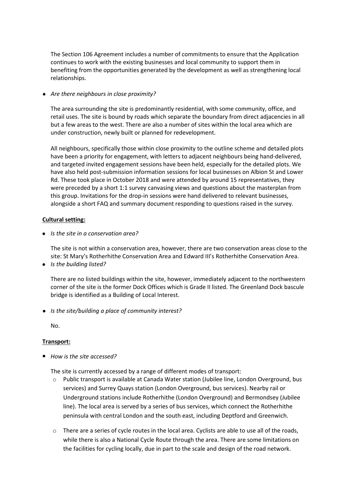The Section 106 Agreement includes a number of commitments to ensure that the Application continues to work with the existing businesses and local community to support them in benefiting from the opportunities generated by the development as well as strengthening local relationships.

#### • Are there neighbours in close proximity?

The area surrounding the site is predominantly residential, with some community, office, and retail uses. The site is bound by roads which separate the boundary from direct adjacencies in all but a few areas to the west. There are also a number of sites within the local area which are under construction, newly built or planned for redevelopment.

All neighbours, specifically those within close proximity to the outline scheme and detailed plots have been a priority for engagement, with letters to adjacent neighbours being hand-delivered, and targeted invited engagement sessions have been held, especially for the detailed plots. We have also held post-submission information sessions for local businesses on Albion St and Lower Rd. These took place in October 2018 and were attended by around 15 representatives, they were preceded by a short 1:1 survey canvasing views and questions about the masterplan from this group. Invitations for the drop-in sessions were hand delivered to relevant businesses, alongside a short FAQ and summary document responding to questions raised in the survey.

#### Cultural setting:

● Is the site in a conservation area?

The site is not within a conservation area, however, there are two conservation areas close to the site: St Mary's Rotherhithe Conservation Area and Edward III's Rotherhithe Conservation Area.

• Is the building listed?

There are no listed buildings within the site, however, immediately adjacent to the northwestern corner of the site is the former Dock Offices which is Grade II listed. The Greenland Dock bascule bridge is identified as a Building of Local Interest.

● Is the site/building a place of community interest?

No.

#### Transport:

• How is the site accessed?

The site is currently accessed by a range of different modes of transport:

- o Public transport is available at Canada Water station (Jubilee line, London Overground, bus services) and Surrey Quays station (London Overground, bus services). Nearby rail or Underground stations include Rotherhithe (London Overground) and Bermondsey (Jubilee line). The local area is served by a series of bus services, which connect the Rotherhithe peninsula with central London and the south east, including Deptford and Greenwich.
- $\circ$  There are a series of cycle routes in the local area. Cyclists are able to use all of the roads, while there is also a National Cycle Route through the area. There are some limitations on the facilities for cycling locally, due in part to the scale and design of the road network.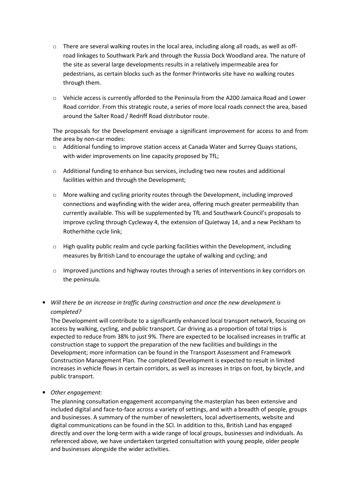- $\circ$  There are several walking routes in the local area, including along all roads, as well as offroad linkages to Southwark Park and through the Russia Dock Woodland area. The nature of the site as several large developments results in a relatively impermeable area for pedestrians, as certain blocks such as the former Printworks site have no walking routes through them.
- o Vehicle access is currently afforded to the Peninsula from the A200 Jamaica Road and Lower Road corridor. From this strategic route, a series of more local roads connect the area, based around the Salter Road / Redriff Road distributor route.

The proposals for the Development envisage a significant improvement for access to and from the area by non-car modes:

- $\circ$  Additional funding to improve station access at Canada Water and Surrey Quays stations, with wider improvements on line capacity proposed by TfL;
- o Additional funding to enhance bus services, including two new routes and additional facilities within and through the Development;
- $\circ$  More walking and cycling priority routes through the Development, including improved connections and wayfinding with the wider area, offering much greater permeability than currently available. This will be supplemented by TfL and Southwark Council's proposals to improve cycling through Cycleway 4, the extension of Quietway 14, and a new Peckham to Rotherhithe cycle link;
- $\circ$  High quality public realm and cycle parking facilities within the Development, including measures by British Land to encourage the uptake of walking and cycling; and
- $\circ$  Improved junctions and highway routes through a series of interventions in key corridors on the peninsula.
- Will there be an increase in traffic during construction and once the new development is completed?

The Development will contribute to a significantly enhanced local transport network, focusing on access by walking, cycling, and public transport. Car driving as a proportion of total trips is expected to reduce from 38% to just 9%. There are expected to be localised increases in traffic at construction stage to support the preparation of the new facilities and buildings in the Development; more information can be found in the Transport Assessment and Framework Construction Management Plan. The completed Development is expected to result in limited increases in vehicle flows in certain corridors, as well as increases in trips on foot, by bicycle, and public transport.

• Other engagement:

The planning consultation engagement accompanying the masterplan has been extensive and included digital and face-to-face across a variety of settings, and with a breadth of people, groups and businesses. A summary of the number of newsletters, local advertisements, website and digital communications can be found in the SCI. In addition to this, British Land has engaged directly and over the long-term with a wide range of local groups, businesses and individuals. As referenced above, we have undertaken targeted consultation with young people, older people and businesses alongside the wider activities.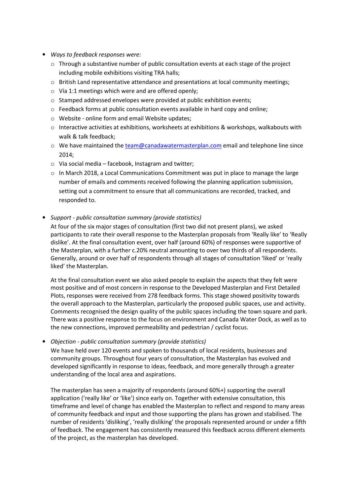- Ways to feedback responses were:
	- $\circ$  Through a substantive number of public consultation events at each stage of the project including mobile exhibitions visiting TRA halls;
	- $\circ$  British Land representative attendance and presentations at local community meetings;
	- o Via 1:1 meetings which were and are offered openly;
	- o Stamped addressed envelopes were provided at public exhibition events;
	- $\circ$  Feedback forms at public consultation events available in hard copy and online;
	- o Website online form and email Website updates;
	- $\circ$  Interactive activities at exhibitions, worksheets at exhibitions & workshops, walkabouts with walk & talk feedback;
	- $\circ$  We have maintained the team@canadawatermasterplan.com email and telephone line since 2014;
	- $\circ$  Via social media facebook, Instagram and twitter;
	- $\circ$  In March 2018, a Local Communications Commitment was put in place to manage the large number of emails and comments received following the planning application submission, setting out a commitment to ensure that all communications are recorded, tracked, and responded to.
- Support public consultation summary (provide statistics)

At four of the six major stages of consultation (first two did not present plans), we asked participants to rate their overall response to the Masterplan proposals from 'Really like' to 'Really dislike'. At the final consultation event, over half (around 60%) of responses were supportive of the Masterplan, with a further c.20% neutral amounting to over two thirds of all respondents. Generally, around or over half of respondents through all stages of consultation 'liked' or 'really liked' the Masterplan.

At the final consultation event we also asked people to explain the aspects that they felt were most positive and of most concern in response to the Developed Masterplan and First Detailed Plots, responses were received from 278 feedback forms. This stage showed positivity towards the overall approach to the Masterplan, particularly the proposed public spaces, use and activity. Comments recognised the design quality of the public spaces including the town square and park. There was a positive response to the focus on environment and Canada Water Dock, as well as to the new connections, improved permeability and pedestrian / cyclist focus.

• Objection - public consultation summary (provide statistics)

We have held over 120 events and spoken to thousands of local residents, businesses and community groups. Throughout four years of consultation, the Masterplan has evolved and developed significantly in response to ideas, feedback, and more generally through a greater understanding of the local area and aspirations.

The masterplan has seen a majority of respondents (around 60%+) supporting the overall application ('really like' or 'like') since early on. Together with extensive consultation, this timeframe and level of change has enabled the Masterplan to reflect and respond to many areas of community feedback and input and those supporting the plans has grown and stabilised. The number of residents 'disliking', 'really disliking' the proposals represented around or under a fifth of feedback. The engagement has consistently measured this feedback across different elements of the project, as the masterplan has developed.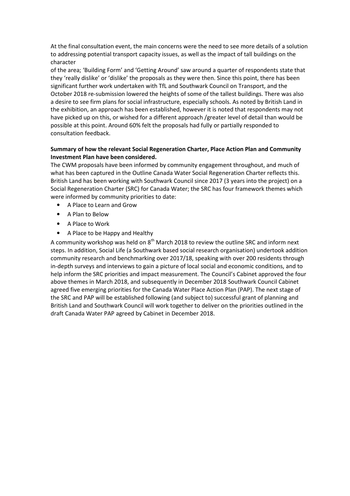At the final consultation event, the main concerns were the need to see more details of a solution to addressing potential transport capacity issues, as well as the impact of tall buildings on the character

of the area; 'Building Form' and 'Getting Around' saw around a quarter of respondents state that they 'really dislike' or 'dislike' the proposals as they were then. Since this point, there has been significant further work undertaken with TfL and Southwark Council on Transport, and the October 2018 re-submission lowered the heights of some of the tallest buildings. There was also a desire to see firm plans for social infrastructure, especially schools. As noted by British Land in the exhibition, an approach has been established, however it is noted that respondents may not have picked up on this, or wished for a different approach /greater level of detail than would be possible at this point. Around 60% felt the proposals had fully or partially responded to consultation feedback.

#### Summary of how the relevant Social Regeneration Charter, Place Action Plan and Community Investment Plan have been considered.

The CWM proposals have been informed by community engagement throughout, and much of what has been captured in the Outline Canada Water Social Regeneration Charter reflects this. British Land has been working with Southwark Council since 2017 (3 years into the project) on a Social Regeneration Charter (SRC) for Canada Water; the SRC has four framework themes which were informed by community priorities to date:

- A Place to Learn and Grow
- A Plan to Below
- A Place to Work
- A Place to be Happy and Healthy

A community workshop was held on  $8<sup>th</sup>$  March 2018 to review the outline SRC and inform next steps. In addition, Social Life (a Southwark based social research organisation) undertook addition community research and benchmarking over 2017/18, speaking with over 200 residents through in-depth surveys and interviews to gain a picture of local social and economic conditions, and to help inform the SRC priorities and impact measurement. The Council's Cabinet approved the four above themes in March 2018, and subsequently in December 2018 Southwark Council Cabinet agreed five emerging priorities for the Canada Water Place Action Plan (PAP). The next stage of the SRC and PAP will be established following (and subject to) successful grant of planning and British Land and Southwark Council will work together to deliver on the priorities outlined in the draft Canada Water PAP agreed by Cabinet in December 2018.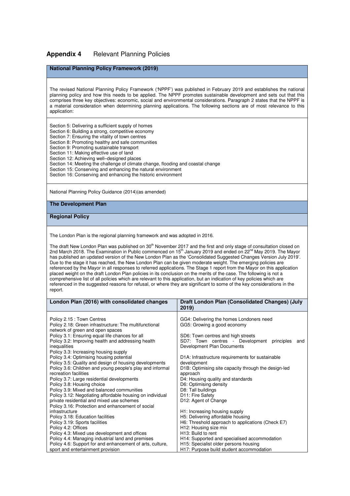#### **Appendix 4** Relevant Planning Policies

#### **National Planning Policy Framework (2019)**

The revised National Planning Policy Framework ('NPPF') was published in February 2019 and establishes the national planning policy and how this needs to be applied. The NPPF promotes sustainable development and sets out that this comprises three key objectives: economic, social and environmental considerations. Paragraph 2 states that the NPPF is a material consideration when determining planning applications. The following sections are of most relevance to this application:

Section 5: Delivering a sufficient supply of homes

- Section 6: Building a strong, competitive economy
- Section 7: Ensuring the vitality of town centres
- Section 8: Promoting healthy and safe communities
- Section 9: Promoting sustainable transport
- Section 11: Making effective use of land
- Section 12: Achieving well–designed places
- Section 14: Meeting the challenge of climate change, flooding and coastal change
- Section 15: Conserving and enhancing the natural environment
- Section 16: Conserving and enhancing the historic environment

National Planning Policy Guidance (2014)(as amended)

#### **The Development Plan**

#### **Regional Policy**

The London Plan is the regional planning framework and was adopted in 2016.

The draft New London Plan was published on 30<sup>th</sup> November 2017 and the first and only stage of consultation closed on 2nd March 2018. The Examination in Public commenced on 15<sup>th</sup> January 2019 and ended on 22<sup>nd</sup> May 2019. The Mayor has published an updated version of the New London Plan as the 'Consolidated Suggested Changes Version July 2019'. Due to the stage it has reached, the New London Plan can be given moderate weight. The emerging policies are referenced by the Mayor in all responses to referred applications. The Stage 1 report from the Mayor on this application placed weight on the draft London Plan policies in its conclusion on the merits of the case. The following is not a comprehensive list of all policies which are relevant to this application, but an indication of key policies which are referenced in the suggested reasons for refusal, or where they are significant to some of the key considerations in the report.

| London Plan (2016) with consolidated changes              | Draft London Plan (Consolidated Changes) (July                    |
|-----------------------------------------------------------|-------------------------------------------------------------------|
|                                                           | 2019)                                                             |
|                                                           |                                                                   |
| Policy 2.15 : Town Centres                                | GG4: Delivering the homes Londoners need                          |
| Policy 2.18: Green infrastructure: The multifunctional    | GG5: Growing a good economy                                       |
| network of green and open spaces                          |                                                                   |
| Policy 3.1: Ensuring equal life chances for all           | SD6: Town centres and high streets                                |
| Policy 3.2: Improving health and addressing health        | SD7: Town centres - Development<br>principles<br>and              |
| inequalities                                              | Development Plan Documents                                        |
| Policy 3.3: Increasing housing supply                     |                                                                   |
| Policy 3.4: Optimising housing potential                  | D1A: Infrastructure requirements for sustainable                  |
| Policy 3.5: Quality and design of housing developments    | development                                                       |
| Policy 3.6: Children and young people's play and informal | D <sub>1</sub> B: Optimising site capacity through the design-led |
| recreation facilities                                     | approach                                                          |
| Policy 3.7: Large residential developments                | D4: Housing quality and standards                                 |
| Policy 3.8: Housing choice                                | D6: Optimising density                                            |
| Policy 3.9: Mixed and balanced communities                | D8: Tall buildings                                                |
| Policy 3.12: Negotiating affordable housing on individual | D11: Fire Safety                                                  |
| private residential and mixed use schemes                 | D12: Agent of Change                                              |
| Policy 3.16: Protection and enhancement of social         |                                                                   |
| infrastructure                                            | H1: Increasing housing supply                                     |
| Policy 3.18: Education facilities                         | H5: Delivering affordable housing                                 |
| Policy 3.19: Sports facilities                            | H6: Threshold approach to applications (Check E7)                 |
| Policy 4.2: Offices                                       | H12: Housing size mix                                             |
| Policy 4.3: Mixed use development and offices             | H <sub>13</sub> : Build to rent                                   |
| Policy 4.4: Managing industrial land and premises         | H14: Supported and specialised accommodation                      |
| Policy 4.6: Support for and enhancement of arts, culture, | H15: Specialist older persons housing                             |
| sport and entertainment provision                         | H17: Purpose build student accommodation                          |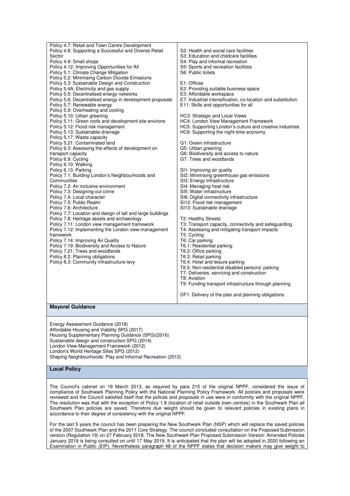| Policy 4.7: Retail and Town Centre Development<br>Policy 4.8: Supporting a Successful and Diverse Retail<br>Sector<br>Policy 4.9: Small shops<br>Policy 4.12: Improving Opportunities for All<br>Policy 5.1: Climate Change Mitigation<br>Policy 5.2: Minimising Carbon Dioxide Emissions<br>Policy 5.3: Sustainable Design and Construction<br>Policy 5.4A: Electricity and gas supply<br>Policy 5.5: Decentralised energy networks<br>Policy 5.6: Decentralised energy in development proposals<br>Policy 5.7: Renewable energy<br>Policy 5.9: Overheating and cooling<br>Policy 5.10: Urban greening<br>Policy 5.11: Green roofs and development site environs<br>Policy 5.12: Flood risk management<br>Policy 5.13: Sustainable drainage<br>Policy 5.17: Waste capacity<br>Policy 5.21: Contaminated land<br>Policy 6.3: Assessing the effects of development on<br>transport capacity<br>Policy 6.9: Cycling<br>Policy 6.10: Walking<br>Policy 6.13: Parking<br>Policy 7.1: Building London's Neighbourhoods and<br>Communities<br>Policy 7.2: An inclusive environment<br>Policy 7.3: Designing out crime<br>Policy 7.4: Local character<br>Policy 7.5: Public Realm<br>Policy 7.6: Architecture<br>Policy 7.7: Location and design of tall and large buildings<br>Policy 7.8: Heritage assets and archaeology<br>Policy 7.11: London view management framework<br>Policy 7.12: Implementing the London view management<br>framework<br>Policy 7.14: Improving Air Quality<br>Policy 7.19: Biodiversity and Access to Nature<br>Policy 7.21: Trees and woodlands<br>Policy 8.2: Planning obligations<br>Policy 8.3: Community infrastructure levy | S2: Health and social care facilities<br>S3: Education and childcare facilities<br>S4: Play and informal recreation<br>S5: Sports and recreation facilities<br>S6: Public toilets<br>E1: Offices<br>E2: Providing suitable business space<br>E3: Affordable workspace<br>E7: Industrial intensification, co-location and substitution<br>E11: Skills and opportunities for all<br>HC3: Strategic and Local Views<br>HC4: London View Management Framework<br>HC5: Supporting London's culture and creative industries<br>HC6: Supporting the night-time economy<br>G1: Green infrastructure<br>G5: Urban greening<br>G6: Biodiversity and access to nature<br>G7: Trees and woodlands<br>SI1: Improving air quality<br>SI2: Minimising greenhouse gas emissions<br>SI3: Energy Infrastructure<br>SI4: Managing heat risk<br>SI5: Water infrastructure<br>SI6: Digital connectivity infrastructure<br>SI12: Flood risk management<br>SI13: Sustainable drainage<br>T2: Healthy Streets<br>T3: Transport capacity, connectivity and safeguarding<br>T4: Assessing and mitigating transport impacts<br>T5: Cycling<br>T6: Car parking<br>T6.1: Residential parking<br>T6.2: Office parking<br>T6.3: Retail parking<br>T6.4: Hotel and leisure parking<br>T6.5: Non-residential disabled persons' parking<br>T7: Deliveries, servicing and construction<br>T8: Aviation<br>T9: Funding transport infrastructure through planning |
|---------------------------------------------------------------------------------------------------------------------------------------------------------------------------------------------------------------------------------------------------------------------------------------------------------------------------------------------------------------------------------------------------------------------------------------------------------------------------------------------------------------------------------------------------------------------------------------------------------------------------------------------------------------------------------------------------------------------------------------------------------------------------------------------------------------------------------------------------------------------------------------------------------------------------------------------------------------------------------------------------------------------------------------------------------------------------------------------------------------------------------------------------------------------------------------------------------------------------------------------------------------------------------------------------------------------------------------------------------------------------------------------------------------------------------------------------------------------------------------------------------------------------------------------------------------------------------------------------------------------------------------------------------|------------------------------------------------------------------------------------------------------------------------------------------------------------------------------------------------------------------------------------------------------------------------------------------------------------------------------------------------------------------------------------------------------------------------------------------------------------------------------------------------------------------------------------------------------------------------------------------------------------------------------------------------------------------------------------------------------------------------------------------------------------------------------------------------------------------------------------------------------------------------------------------------------------------------------------------------------------------------------------------------------------------------------------------------------------------------------------------------------------------------------------------------------------------------------------------------------------------------------------------------------------------------------------------------------------------------------------------------------------------------------------------------------------------------------|
|                                                                                                                                                                                                                                                                                                                                                                                                                                                                                                                                                                                                                                                                                                                                                                                                                                                                                                                                                                                                                                                                                                                                                                                                                                                                                                                                                                                                                                                                                                                                                                                                                                                         |                                                                                                                                                                                                                                                                                                                                                                                                                                                                                                                                                                                                                                                                                                                                                                                                                                                                                                                                                                                                                                                                                                                                                                                                                                                                                                                                                                                                                              |
|                                                                                                                                                                                                                                                                                                                                                                                                                                                                                                                                                                                                                                                                                                                                                                                                                                                                                                                                                                                                                                                                                                                                                                                                                                                                                                                                                                                                                                                                                                                                                                                                                                                         |                                                                                                                                                                                                                                                                                                                                                                                                                                                                                                                                                                                                                                                                                                                                                                                                                                                                                                                                                                                                                                                                                                                                                                                                                                                                                                                                                                                                                              |
|                                                                                                                                                                                                                                                                                                                                                                                                                                                                                                                                                                                                                                                                                                                                                                                                                                                                                                                                                                                                                                                                                                                                                                                                                                                                                                                                                                                                                                                                                                                                                                                                                                                         | DF1: Delivery of the plan and planning obligations                                                                                                                                                                                                                                                                                                                                                                                                                                                                                                                                                                                                                                                                                                                                                                                                                                                                                                                                                                                                                                                                                                                                                                                                                                                                                                                                                                           |
| <b>Mayoral Guidance</b>                                                                                                                                                                                                                                                                                                                                                                                                                                                                                                                                                                                                                                                                                                                                                                                                                                                                                                                                                                                                                                                                                                                                                                                                                                                                                                                                                                                                                                                                                                                                                                                                                                 |                                                                                                                                                                                                                                                                                                                                                                                                                                                                                                                                                                                                                                                                                                                                                                                                                                                                                                                                                                                                                                                                                                                                                                                                                                                                                                                                                                                                                              |
| Energy Assessment Guidance (2018)<br>Affordable Housing and Viability SPG (2017)<br>Housing Supplementary Planning Guidance (SPG)(2016)                                                                                                                                                                                                                                                                                                                                                                                                                                                                                                                                                                                                                                                                                                                                                                                                                                                                                                                                                                                                                                                                                                                                                                                                                                                                                                                                                                                                                                                                                                                 |                                                                                                                                                                                                                                                                                                                                                                                                                                                                                                                                                                                                                                                                                                                                                                                                                                                                                                                                                                                                                                                                                                                                                                                                                                                                                                                                                                                                                              |

Housing Supplementary Planning Guidance (SPG)(2016) Sustainable design and construction SPG (2014) London View Management Framework (2012) London's World Heritage Sites SPG (2012) Shaping Neighbourhoods: Play and Informal Recreation (2012)

#### **Local Policy**

The Council's cabinet on 19 March 2013, as required by para 215 of the original NPPF, considered the issue of compliance of Southwark Planning Policy with the National Planning Policy Framework. All policies and proposals were reviewed and the Council satisfied itself that the polices and proposals in use were in conformity with the original NPPF. The resolution was that with the exception of Policy 1.8 (location of retail outside town centres) in the Southwark Plan all Southwark Plan policies are saved. Therefore due weight should be given to relevant policies in existing plans in accordance to their degree of consistency with the original NPPF.

For the last 5 years the council has been preparing the New Southwark Plan (NSP) which will replace the saved policies of the 2007 Southwark Plan and the 2011 Core Strategy. The council concluded consultation on the Proposed Submission version (Regulation 19) on 27 February 2018. The New Southwark Plan Proposed Submission Version: Amended Policies January 2019 is being consulted on until 17 May 2019. It is anticipated that the plan will be adopted in 2020 following an Examination in Public (EIP). Nevertheless paragraph 48 of the NPPF states that decision makers may give weight to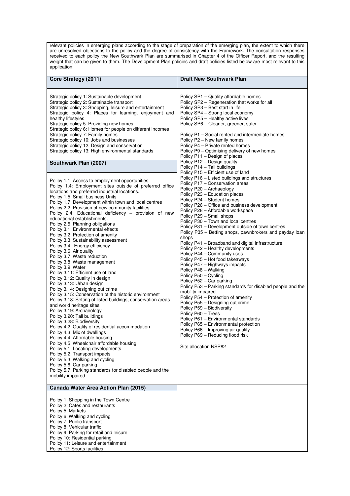relevant policies in emerging plans according to the stage of preparation of the emerging plan, the extent to which there are unresolved objections to the policy and the degree of consistency with the Framework. The consultation responses received to each policy the New Southwark Plan are summarised in Chapter 4 of the Officer Report, and the resulting weight that can be given to them. The Development Plan policies and draft policies listed below are most relevant to this application:

| Core Strategy (2011)                                                                                                                                                                                                                                                                                                                                                                                                                                                                                                                                                                                                                                                                                                                                                                                                                                                                                                                                                                                                                                                                                                                                                                                                                                                                                                                                                                                                                                                                                                                                                                                                                                                                                                                                                                                                                                                                                                                                                                                                                                      | <b>Draft New Southwark Plan</b>                                                                                                                                                                                                                                                                                                                                                                                                                                                                                                                                                                                                                                                                                                                                                                                                                                                                                                                                                                                                                                                                                                                                                                                                                                                                                                                                                                                                                                                                                                                                                                                                                                                                    |
|-----------------------------------------------------------------------------------------------------------------------------------------------------------------------------------------------------------------------------------------------------------------------------------------------------------------------------------------------------------------------------------------------------------------------------------------------------------------------------------------------------------------------------------------------------------------------------------------------------------------------------------------------------------------------------------------------------------------------------------------------------------------------------------------------------------------------------------------------------------------------------------------------------------------------------------------------------------------------------------------------------------------------------------------------------------------------------------------------------------------------------------------------------------------------------------------------------------------------------------------------------------------------------------------------------------------------------------------------------------------------------------------------------------------------------------------------------------------------------------------------------------------------------------------------------------------------------------------------------------------------------------------------------------------------------------------------------------------------------------------------------------------------------------------------------------------------------------------------------------------------------------------------------------------------------------------------------------------------------------------------------------------------------------------------------------|----------------------------------------------------------------------------------------------------------------------------------------------------------------------------------------------------------------------------------------------------------------------------------------------------------------------------------------------------------------------------------------------------------------------------------------------------------------------------------------------------------------------------------------------------------------------------------------------------------------------------------------------------------------------------------------------------------------------------------------------------------------------------------------------------------------------------------------------------------------------------------------------------------------------------------------------------------------------------------------------------------------------------------------------------------------------------------------------------------------------------------------------------------------------------------------------------------------------------------------------------------------------------------------------------------------------------------------------------------------------------------------------------------------------------------------------------------------------------------------------------------------------------------------------------------------------------------------------------------------------------------------------------------------------------------------------------|
| Strategic policy 1: Sustainable development<br>Strategic policy 2: Sustainable transport<br>Strategic policy 3: Shopping, leisure and entertainment<br>Strategic policy 4: Places for learning, enjoyment and<br>healthy lifestyles<br>Strategic policy 5: Providing new homes<br>Strategic policy 6: Homes for people on different incomes<br>Strategic policy 7: Family homes<br>Strategic policy 10: Jobs and businesses<br>Strategic policy 12: Design and conservation<br>Strategic policy 13: High environmental standards<br>Southwark Plan (2007)<br>Policy 1.1: Access to employment opportunities<br>Policy 1.4: Employment sites outside of preferred office<br>locations and preferred industrial locations.<br>Policy 1.5: Small business Units<br>Policy 1.7: Development within town and local centres<br>Policy 2.2: Provision of new community facilities<br>Policy 2.4: Educational deficiency - provision of new<br>educational establishments.<br>Policy 2.5: Planning obligations<br>Policy 3.1: Environmental effects<br>Policy 3.2: Protection of amenity<br>Policy 3.3: Sustainability assessment<br>Policy 3.4 : Energy efficiency<br>Policy 3.6: Air quality<br>Policy 3.7: Waste reduction<br>Policy 3.8: Waste management<br>Policy 3.9: Water<br>Policy 3.11: Efficient use of land<br>Policy 3.12: Quality in design<br>Policy 3.13: Urban design<br>Policy 3.14: Designing out crime<br>Policy 3.15: Conservation of the historic environment<br>Policy 3.18: Setting of listed buildings, conservation areas<br>and world heritage sites<br>Policy 3.19: Archaeology<br>Policy 3.20: Tall buildings<br>Policy 3.28: Biodiversity<br>Policy 4.2: Quality of residential accommodation<br>Policy 4.3: Mix of dwellings<br>Policy 4.4: Affordable housing<br>Policy 4.5: Wheelchair affordable housing<br>Policy 5.1: Locating developments<br>Policy 5.2: Transport impacts<br>Policy 5.3: Walking and cycling<br>Policy 5.6: Car parking<br>Policy 5.7: Parking standards for disabled people and the<br>mobility impaired | Policy SP1 - Quality affordable homes<br>Policy SP2 - Regeneration that works for all<br>Policy SP3 - Best start in life<br>Policy SP4 - Strong local economy<br>Policy SP5 - Healthy active lives<br>Policy SP6 - Cleaner, greener, safer<br>Policy P1 - Social rented and intermediate homes<br>Policy P2 - New family homes<br>Policy P4 - Private rented homes<br>Policy P9 – Optimising delivery of new homes<br>Policy P11 - Design of places<br>Policy P12 - Design quality<br>Policy P14 - Tall buildings<br>Policy P15 - Efficient use of land<br>Policy P16 – Listed buildings and structures<br>Policy P17 - Conservation areas<br>Policy P20 - Archaeology<br>Policy P23 - Education places<br>Policy P24 - Student homes<br>Policy P26 – Office and business development<br>Policy P28 - Affordable workspace<br>Policy P29 - Small shops<br>Policy P30 - Town and local centres<br>Policy P31 - Development outside of town centres<br>Policy P35 – Betting shops, pawnbrokers and payday loan<br>shops<br>Policy P41 - Broadband and digital infrastructure<br>Policy P42 - Healthy developments<br>Policy P44 - Community uses<br>Policy P45 - Hot food takeaways<br>Policy P47 – Highways impacts<br>Policy P48 - Walking<br>Policy P50 - Cycling<br>Policy P52 - Car parking<br>Policy P53 – Parking standards for disabled people and the<br>mobility impaired<br>Policy P54 - Protection of amenity<br>Policy P55 - Designing out crime<br>Policy P59 - Biodiversity<br>Policy P60 - Trees<br>Policy P61 - Environmental standards<br>Policy P65 - Environmental protection<br>Policy P66 - Improving air quality<br>Policy P69 - Reducing flood risk<br>Site allocation NSP82 |
| Canada Water Area Action Plan (2015)                                                                                                                                                                                                                                                                                                                                                                                                                                                                                                                                                                                                                                                                                                                                                                                                                                                                                                                                                                                                                                                                                                                                                                                                                                                                                                                                                                                                                                                                                                                                                                                                                                                                                                                                                                                                                                                                                                                                                                                                                      |                                                                                                                                                                                                                                                                                                                                                                                                                                                                                                                                                                                                                                                                                                                                                                                                                                                                                                                                                                                                                                                                                                                                                                                                                                                                                                                                                                                                                                                                                                                                                                                                                                                                                                    |
| Policy 1: Shopping in the Town Centre<br>Policy 2: Cafes and restaurants<br>Policy 5: Markets<br>Policy 6: Walking and cycling<br>Policy 7: Public transport<br>Policy 8: Vehicular traffic<br>Policy 9: Parking for retail and leisure<br>Policy 10: Residential parking<br>Policy 11: Leisure and entertainment<br>Policy 12: Sports facilities                                                                                                                                                                                                                                                                                                                                                                                                                                                                                                                                                                                                                                                                                                                                                                                                                                                                                                                                                                                                                                                                                                                                                                                                                                                                                                                                                                                                                                                                                                                                                                                                                                                                                                         |                                                                                                                                                                                                                                                                                                                                                                                                                                                                                                                                                                                                                                                                                                                                                                                                                                                                                                                                                                                                                                                                                                                                                                                                                                                                                                                                                                                                                                                                                                                                                                                                                                                                                                    |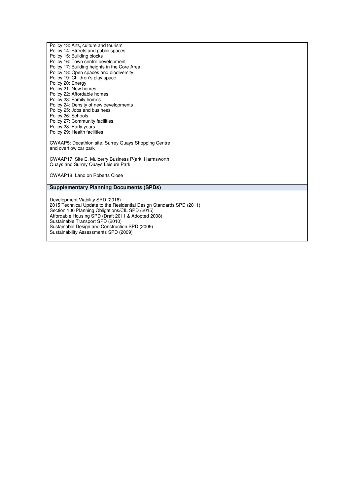| Policy 13: Arts, culture and tourism                                 |  |
|----------------------------------------------------------------------|--|
| Policy 14: Streets and public spaces                                 |  |
| Policy 15: Building blocks                                           |  |
| Policy 16: Town centre development                                   |  |
| Policy 17: Building heights in the Core Area                         |  |
|                                                                      |  |
| Policy 18: Open spaces and biodiversity                              |  |
| Policy 19: Children's play space                                     |  |
| Policy 20: Energy                                                    |  |
| Policy 21: New homes                                                 |  |
| Policy 22: Affordable homes                                          |  |
| Policy 23: Family homes                                              |  |
| Policy 24: Density of new developments                               |  |
| Policy 25: Jobs and business                                         |  |
| Policy 26: Schools                                                   |  |
| Policy 27: Community facilities                                      |  |
| Policy 28: Early years                                               |  |
| Policy 29: Health facilities                                         |  |
|                                                                      |  |
| <b>CWAAP5: Decathlon site, Surrey Quays Shopping Centre</b>          |  |
| and overflow car park                                                |  |
|                                                                      |  |
| CWAAP17: Site E, Mulberry Business P{ark, Harmsworth                 |  |
| Quays and Surrey Quays Leisure Park                                  |  |
|                                                                      |  |
| CWAAP18: Land on Roberts Close                                       |  |
|                                                                      |  |
|                                                                      |  |
| <b>Supplementary Planning Documents (SPDs)</b>                       |  |
|                                                                      |  |
| Development Viability SPD (2016)                                     |  |
| 2015 Technical Update to the Residential Design Standards SPD (2011) |  |
| Section 106 Planning Obligations/CIL SPD (2015)                      |  |
| Affordable Housing SPD (Draft 2011 & Adopted 2008)                   |  |
| Sustainable Transport SPD (2010)                                     |  |
| Sustainable Design and Construction SPD (2009)                       |  |
| Sustainability Assessments SPD (2009)                                |  |
|                                                                      |  |
|                                                                      |  |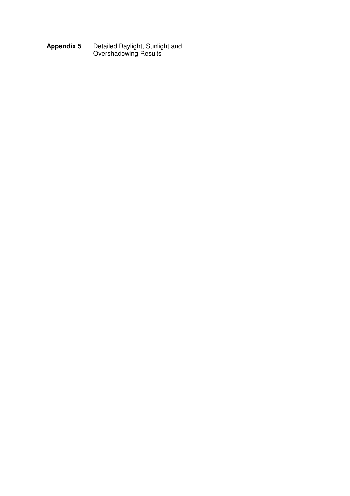**Appendix 5** Detailed Daylight, Sunlight and Overshadowing Results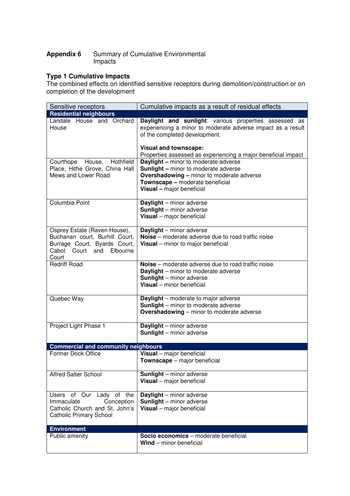#### **Appendix 6** Summary of Cumulative Environmental Impacts

### **Type 1 Cumulative Impacts**

The combined effects on identified sensitive receptors during demolition/construction or on completion of the development

| Sensitive receptors                                                                                                                    | Cumulative impacts as a result of residual effects                                                                                                                                                             |
|----------------------------------------------------------------------------------------------------------------------------------------|----------------------------------------------------------------------------------------------------------------------------------------------------------------------------------------------------------------|
| <b>Residential neighbours</b>                                                                                                          |                                                                                                                                                                                                                |
| Landale House and Orchard<br>House                                                                                                     | Daylight and sunlight: various properties assessed as<br>experiencing a minor to moderate adverse impact as a result<br>of the completed development.                                                          |
|                                                                                                                                        | <b>Visual and townscape:</b><br>Properties assessed as experiencing a major beneficial impact                                                                                                                  |
| Hothfield<br>Courthope<br>House,<br>Place, Hithe Grove, China Hall<br>Mews and Lower Road                                              | <b>Daylight - minor to moderate adverse</b><br><b>Sunlight - minor to moderate adverse</b><br><b>Overshadowing - minor to moderate adverse</b><br>Townscape - moderate beneficial<br>Visual - major beneficial |
| Columbia Point                                                                                                                         | Daylight - minor adverse<br><b>Sunlight</b> - minor adverse<br>Visual - major beneficial                                                                                                                       |
| Osprey Estate (Raven House),<br>Buchanan court, Burhill Court,<br>Burrage Court, Byards Court,<br>Cabot Court and<br>Elbourne<br>Court | <b>Daylight</b> - minor adverse<br>Noise – moderate adverse due to road traffic noise<br>Visual - minor to major beneficial                                                                                    |
| <b>Redriff Road</b>                                                                                                                    | Noise - moderate adverse due to road traffic noise<br><b>Daylight</b> – minor to moderate adverse<br><b>Sunlight</b> - minor adverse<br>Visual - minor beneficial                                              |
| Quebec Way                                                                                                                             | Daylight - moderate to major adverse<br><b>Sunlight</b> – minor to moderate adverse<br><b>Overshadowing</b> – minor to moderate adverse                                                                        |
| Project Light Phase 1                                                                                                                  | Daylight - minor adverse<br><b>Sunlight</b> - minor adverse                                                                                                                                                    |
| <b>Commercial and community neighbours</b>                                                                                             |                                                                                                                                                                                                                |
| <b>Former Dock Office</b>                                                                                                              | Visual - major beneficial<br>Townscape - major beneficial                                                                                                                                                      |
| <b>Alfred Salter School</b>                                                                                                            | <b>Sunlight</b> - minor adverse<br>Visual - major beneficial                                                                                                                                                   |
| Our<br>Lady of the<br>Users of<br>Immaculate<br>Conception<br>Catholic Church and St. John's<br><b>Catholic Primary School</b>         | <b>Daylight</b> - minor adverse<br><b>Sunlight</b> - minor adverse<br>Visual - major beneficial                                                                                                                |
| <b>Environment</b>                                                                                                                     |                                                                                                                                                                                                                |
| Public amenity                                                                                                                         | Socio economics - moderate beneficial<br>$Wind$ – minor beneficial                                                                                                                                             |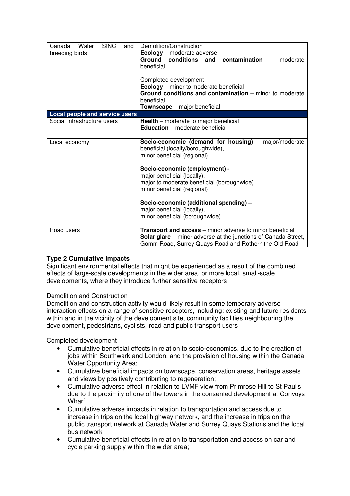| <b>SINC</b><br>Water<br>and<br>Canada<br>breeding birds | Demolition/Construction<br><b>Ecology</b> – moderate adverse<br><b>Ground conditions</b><br>contamination<br>and<br>moderate<br>beneficial<br><b>Completed development</b><br><b>Ecology</b> – minor to moderate beneficial<br>Ground conditions and contamination – minor to moderate<br>beneficial<br>Townscape - major beneficial                                             |
|---------------------------------------------------------|----------------------------------------------------------------------------------------------------------------------------------------------------------------------------------------------------------------------------------------------------------------------------------------------------------------------------------------------------------------------------------|
| Local people and service users                          |                                                                                                                                                                                                                                                                                                                                                                                  |
| Social infrastructure users                             | Health - moderate to major beneficial<br><b>Education</b> – moderate beneficial                                                                                                                                                                                                                                                                                                  |
| Local economy                                           | Socio-economic (demand for housing) - major/moderate<br>beneficial (locally/boroughwide),<br>minor beneficial (regional)<br>Socio-economic (employment) -<br>major beneficial (locally),<br>major to moderate beneficial (boroughwide)<br>minor beneficial (regional)<br>Socio-economic (additional spending) -<br>major beneficial (locally),<br>minor beneficial (boroughwide) |
| Road users                                              | <b>Transport and access</b> – minor adverse to minor beneficial<br><b>Solar glare</b> – minor adverse at the junctions of Canada Street,<br>Gomm Road, Surrey Quays Road and Rotherhithe Old Road                                                                                                                                                                                |

## **Type 2 Cumulative Impacts**

Significant environmental effects that might be experienced as a result of the combined effects of large-scale developments in the wider area, or more local, small-scale developments, where they introduce further sensitive receptors

#### Demolition and Construction

Demolition and construction activity would likely result in some temporary adverse interaction effects on a range of sensitive receptors, including: existing and future residents within and in the vicinity of the development site, community facilities neighbouring the development, pedestrians, cyclists, road and public transport users

#### Completed development

- Cumulative beneficial effects in relation to socio-economics, due to the creation of jobs within Southwark and London, and the provision of housing within the Canada Water Opportunity Area;
- Cumulative beneficial impacts on townscape, conservation areas, heritage assets and views by positively contributing to regeneration;
- Cumulative adverse effect in relation to LVMF view from Primrose Hill to St Paul's due to the proximity of one of the towers in the consented development at Convoys **Wharf**
- Cumulative adverse impacts in relation to transportation and access due to increase in trips on the local highway network, and the increase in trips on the public transport network at Canada Water and Surrey Quays Stations and the local bus network
- Cumulative beneficial effects in relation to transportation and access on car and cycle parking supply within the wider area;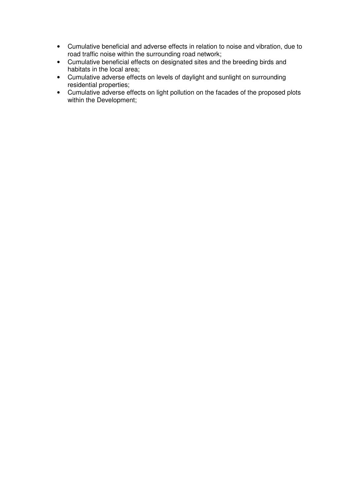- Cumulative beneficial and adverse effects in relation to noise and vibration, due to road traffic noise within the surrounding road network;
- Cumulative beneficial effects on designated sites and the breeding birds and habitats in the local area;
- Cumulative adverse effects on levels of daylight and sunlight on surrounding residential properties;
- Cumulative adverse effects on light pollution on the facades of the proposed plots within the Development;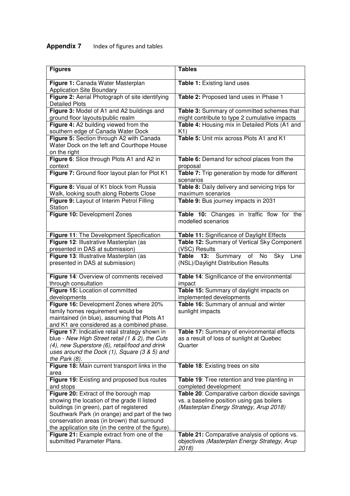# **Appendix 7** Index of figures and tables

| <b>Figures</b>                                                                                         | <b>Tables</b>                                                                             |
|--------------------------------------------------------------------------------------------------------|-------------------------------------------------------------------------------------------|
| Figure 1: Canada Water Masterplan<br><b>Application Site Boundary</b>                                  | <b>Table 1: Existing land uses</b>                                                        |
| Figure 2: Aerial Photograph of site identifying<br><b>Detailed Plots</b>                               | Table 2: Proposed land uses in Phase 1                                                    |
| Figure 3: Model of A1 and A2 buildings and                                                             | Table 3: Summary of committed schemes that                                                |
| ground floor layouts/public realm                                                                      | might contribute to type 2 cumulative impacts                                             |
| Figure 4: A2 building viewed from the                                                                  | Table 4: Housing mix in Detailed Plots (A1 and                                            |
| southern edge of Canada Water Dock                                                                     | K1)<br>Table 5: Unit mix across Plots A1 and K1                                           |
| Figure 5: Section through A2 with Canada<br>Water Dock on the left and Courthope House<br>on the right |                                                                                           |
| Figure 6: Slice through Plots A1 and A2 in                                                             | Table 6: Demand for school places from the                                                |
| context                                                                                                | proposal                                                                                  |
| Figure 7: Ground floor layout plan for Plot K1                                                         | Table 7: Trip generation by mode for different<br>scenarios                               |
| Figure 8: Visual of K1 block from Russia<br>Walk, looking south along Roberts Close                    | Table 8: Daily delivery and servicing trips for<br>maximum scenarios                      |
| Figure 9: Layout of Interim Petrol Filling                                                             | Table 9: Bus journey impacts in 2031                                                      |
| Station                                                                                                |                                                                                           |
| Figure 10: Development Zones                                                                           | Table 10: Changes in traffic flow for the<br>modelled scenarios                           |
| Figure 11: The Development Specification                                                               | Table 11: Significance of Daylight Effects                                                |
| Figure 12: Illustrative Masterplan (as                                                                 | Table 12: Summary of Vertical Sky Component                                               |
| presented in DAS at submission)                                                                        | (VSC) Results                                                                             |
| Figure 13: Illustrative Masterplan (as<br>presented in DAS at submission)                              | Summary<br>No<br>Sky<br>Table<br>13:<br>of<br>Line<br>(NSL)/Daylight Distribution Results |
| Figure 14: Overview of comments received<br>through consultation                                       | Table 14: Significance of the environmental<br>impact                                     |
| Figure 15: Location of committed                                                                       | Table 15: Summary of daylight impacts on                                                  |
| developments                                                                                           | implemented developments                                                                  |
| Figure 16: Development Zones where 20%                                                                 | Table 16: Summary of annual and winter                                                    |
| family homes requirement would be<br>maintained (in blue), assuming that Plots A1                      | sunlight impacts                                                                          |
| and K1 are considered as a combined phase.                                                             |                                                                                           |
| Figure 17: Indicative retail strategy shown in                                                         | Table 17: Summary of environmental effects                                                |
| blue - New High Street retail (1 & 2), the Cuts                                                        | as a result of loss of sunlight at Quebec                                                 |
| (4), new Superstore (6), retail/food and drink                                                         | Quarter                                                                                   |
| uses around the Dock (1), Square (3 & 5) and                                                           |                                                                                           |
| the Park $(8)$ .<br>Figure 18: Main current transport links in the                                     | Table 18: Existing trees on site                                                          |
| area                                                                                                   |                                                                                           |
| Figure 19: Existing and proposed bus routes                                                            | Table 19: Tree retention and tree planting in                                             |
| and stops                                                                                              | completed development                                                                     |
| Figure 20: Extract of the borough map                                                                  | Table 20: Comparative carbon dioxide savings                                              |
| showing the location of the grade II listed                                                            | vs. a baseline position using gas boilers                                                 |
| buildings (in green), part of registered                                                               | (Masterplan Energy Strategy, Arup 2018)                                                   |
| Southwark Park (in orange) and part of the two<br>conservation areas (in brown) that surround          |                                                                                           |
| the application site (in the centre of the figure).                                                    |                                                                                           |
| Figure 21: Example extract from one of the                                                             | Table 21: Comparative analysis of options vs.                                             |
| submitted Parameter Plans.                                                                             | objectives (Masterplan Energy Strategy, Arup<br>2018)                                     |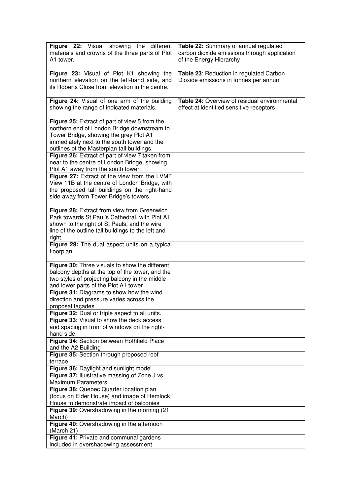| <b>Figure 22:</b> Visual showing the different                                     | Table 22: Summary of annual regulated        |
|------------------------------------------------------------------------------------|----------------------------------------------|
| materials and crowns of the three parts of Plot                                    | carbon dioxide emissions through application |
| A1 tower.                                                                          | of the Energy Hierarchy                      |
|                                                                                    |                                              |
| Figure 23: Visual of Plot K1 showing the                                           | Table 23: Reduction in regulated Carbon      |
| northern elevation on the left-hand side, and                                      | Dioxide emissions in tonnes per annum        |
| its Roberts Close front elevation in the centre.                                   |                                              |
|                                                                                    |                                              |
| Figure 24: Visual of one arm of the building                                       | Table 24: Overview of residual environmental |
| showing the range of indicated materials.                                          | effect at identified sensitive receptors     |
|                                                                                    |                                              |
| Figure 25: Extract of part of view 5 from the                                      |                                              |
| northern end of London Bridge downstream to                                        |                                              |
| Tower Bridge, showing the grey Plot A1                                             |                                              |
| immediately next to the south tower and the                                        |                                              |
| outlines of the Masterplan tall buildings.                                         |                                              |
| Figure 26: Extract of part of view 7 taken from                                    |                                              |
|                                                                                    |                                              |
| near to the centre of London Bridge, showing                                       |                                              |
| Plot A1 away from the south tower.<br>Figure 27: Extract of the view from the LVMF |                                              |
| View 11B at the centre of London Bridge, with                                      |                                              |
|                                                                                    |                                              |
| the proposed tall buildings on the right-hand                                      |                                              |
| side away from Tower Bridge's towers.                                              |                                              |
| Figure 28: Extract from view from Greenwich                                        |                                              |
| Park towards St Paul's Cathedral, with Plot A1                                     |                                              |
|                                                                                    |                                              |
| shown to the right of St Pauls, and the wire                                       |                                              |
| line of the outline tall buildings to the left and                                 |                                              |
| right.<br>Figure 29: The dual aspect units on a typical                            |                                              |
| floorplan.                                                                         |                                              |
|                                                                                    |                                              |
| Figure 30: Three visuals to show the different                                     |                                              |
| balcony depths at the top of the tower, and the                                    |                                              |
| two styles of projecting balcony in the middle                                     |                                              |
| and lower parts of the Plot A1 tower.                                              |                                              |
| Figure 31: Diagrams to show how the wind                                           |                                              |
| direction and pressure varies across the                                           |                                              |
| proposal façades                                                                   |                                              |
| Figure 32: Dual or triple aspect to all units.                                     |                                              |
| Figure 33: Visual to show the deck access                                          |                                              |
| and spacing in front of windows on the right-                                      |                                              |
| hand side.                                                                         |                                              |
| Figure 34: Section between Hothfield Place                                         |                                              |
| and the A2 Building                                                                |                                              |
| Figure 35: Section through proposed roof                                           |                                              |
| terrace                                                                            |                                              |
| Figure 36: Daylight and sunlight model                                             |                                              |
| Figure 37: Illustrative massing of Zone J vs.                                      |                                              |
| <b>Maximum Parameters</b>                                                          |                                              |
| Figure 38: Quebec Quarter location plan                                            |                                              |
| (focus on Elder House) and image of Hemlock                                        |                                              |
| House to demonstrate impact of balconies                                           |                                              |
| Figure 39: Overshadowing in the morning (21)                                       |                                              |
| March)                                                                             |                                              |
| Figure 40: Overshadowing in the afternoon                                          |                                              |
| (March 21)                                                                         |                                              |
| Figure 41: Private and communal gardens                                            |                                              |
| included in overshadowing assessment                                               |                                              |